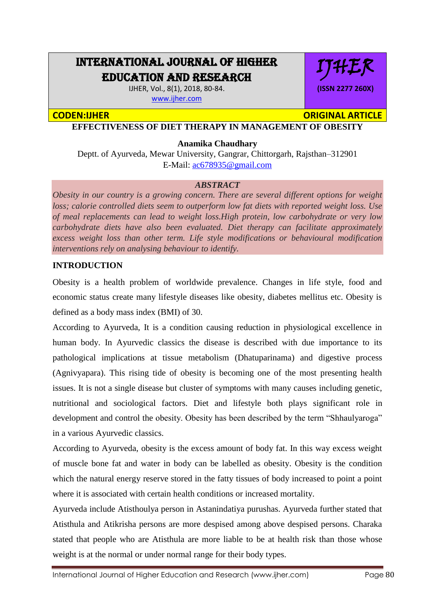## INTERNATIONAL JOURNAL OF HIGHER EDUCATION AND RESEARCH

IJHER, Vol., 8(1), 2018, 80-84. [www.ijher.com](http://www.ijher.com/)

# IJHER **(ISSN 2277 260X)**

**CODEN:IJHER ORIGINAL ARTICLE** 

**EFFECTIVENESS OF DIET THERAPY IN MANAGEMENT OF OBESITY**

#### **Anamika Chaudhary**

Deptt. of Ayurveda, Mewar University, Gangrar, Chittorgarh, Rajsthan–312901 E-Mail: [ac678935@gmail.com](mailto:ac678935@gmail.com)

#### *ABSTRACT*

*Obesity in our country is a growing concern. There are several different options for weight loss; calorie controlled diets seem to outperform low fat diets with reported weight loss. Use of meal replacements can lead to weight loss.High protein, low carbohydrate or very low carbohydrate diets have also been evaluated. Diet therapy can facilitate approximately excess weight loss than other term. Life style modifications or behavioural modification interventions rely on analysing behaviour to identify.*

#### **INTRODUCTION**

Obesity is a health problem of worldwide prevalence. Changes in life style, food and economic status create many lifestyle diseases like obesity, diabetes mellitus etc. Obesity is defined as a body mass index (BMI) of 30.

According to Ayurveda, It is a condition causing reduction in physiological excellence in human body. In Ayurvedic classics the disease is described with due importance to its pathological implications at tissue metabolism (Dhatuparinama) and digestive process (Agnivyapara). This rising tide of obesity is becoming one of the most presenting health issues. It is not a single disease but cluster of symptoms with many causes including genetic, nutritional and sociological factors. Diet and lifestyle both plays significant role in development and control the obesity. Obesity has been described by the term "Shhaulyaroga" in a various Ayurvedic classics.

According to Ayurveda, obesity is the excess amount of body fat. In this way excess weight of muscle bone fat and water in body can be labelled as obesity. Obesity is the condition which the natural energy reserve stored in the fatty tissues of body increased to point a point where it is associated with certain health conditions or increased mortality.

Ayurveda include Atisthoulya person in Astanindatiya purushas. Ayurveda further stated that Atisthula and Atikrisha persons are more despised among above despised persons. Charaka stated that people who are Atisthula are more liable to be at health risk than those whose weight is at the normal or under normal range for their body types.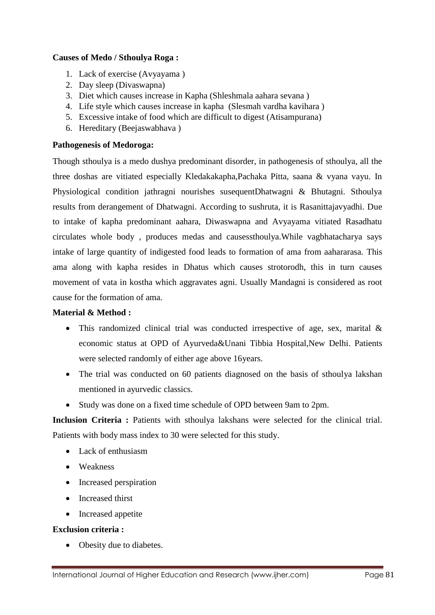#### **Causes of Medo / Sthoulya Roga :**

- 1. Lack of exercise (Avyayama )
- 2. Day sleep (Divaswapna)
- 3. Diet which causes increase in Kapha (Shleshmala aahara sevana )
- 4. Life style which causes increase in kapha (Slesmah vardha kavihara )
- 5. Excessive intake of food which are difficult to digest (Atisampurana)
- 6. Hereditary (Beejaswabhava )

### **Pathogenesis of Medoroga:**

Though sthoulya is a medo dushya predominant disorder, in pathogenesis of sthoulya, all the three doshas are vitiated especially Kledakakapha,Pachaka Pitta, saana & vyana vayu. In Physiological condition jathragni nourishes susequentDhatwagni & Bhutagni. Sthoulya results from derangement of Dhatwagni. According to sushruta, it is Rasanittajavyadhi. Due to intake of kapha predominant aahara, Diwaswapna and Avyayama vitiated Rasadhatu circulates whole body , produces medas and causessthoulya.While vagbhatacharya says intake of large quantity of indigested food leads to formation of ama from aahararasa. This ama along with kapha resides in Dhatus which causes strotorodh, this in turn causes movement of vata in kostha which aggravates agni. Usually Mandagni is considered as root cause for the formation of ama.

#### **Material & Method :**

- This randomized clinical trial was conducted irrespective of age, sex, marital & economic status at OPD of Ayurveda&Unani Tibbia Hospital,New Delhi. Patients were selected randomly of either age above 16years.
- The trial was conducted on 60 patients diagnosed on the basis of sthoulya lakshan mentioned in ayurvedic classics.
- Study was done on a fixed time schedule of OPD between 9am to 2pm.

**Inclusion Criteria :** Patients with sthoulya lakshans were selected for the clinical trial. Patients with body mass index to 30 were selected for this study.

- Lack of enthusiasm
- Weakness
- Increased perspiration
- Increased thirst
- Increased appetite

#### **Exclusion criteria :**

• Obesity due to diabetes.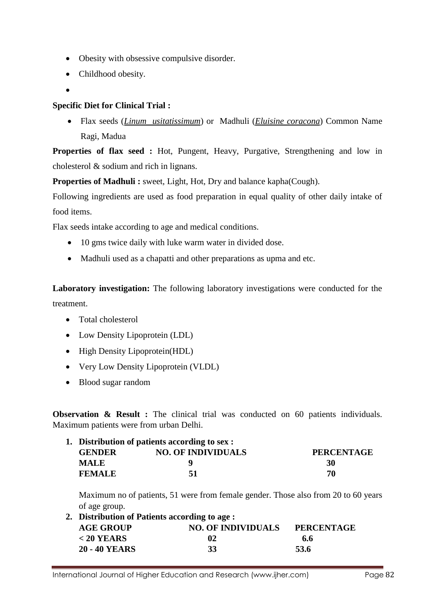- Obesity with obsessive compulsive disorder.
- Childhood obesity.
- $\bullet$

#### **Specific Diet for Clinical Trial :**

 Flax seeds (*Linum usitatissimum*) or Madhuli (*Eluisine coracona*) Common Name Ragi, Madua

**Properties of flax seed :** Hot, Pungent, Heavy, Purgative, Strengthening and low in cholesterol & sodium and rich in lignans.

**Properties of Madhuli :** sweet, Light, Hot, Dry and balance kapha(Cough).

Following ingredients are used as food preparation in equal quality of other daily intake of food items.

Flax seeds intake according to age and medical conditions.

- 10 gms twice daily with luke warm water in divided dose.
- Madhuli used as a chapatti and other preparations as upma and etc.

**Laboratory investigation:** The following laboratory investigations were conducted for the treatment.

- Total cholesterol
- Low Density Lipoprotein (LDL)
- High Density Lipoprotein(HDL)
- Very Low Density Lipoprotein (VLDL)
- Blood sugar random

**Observation & Result :** The clinical trial was conducted on 60 patients individuals. Maximum patients were from urban Delhi.

|               | 1. Distribution of patients according to sex : |                   |  |
|---------------|------------------------------------------------|-------------------|--|
| <b>GENDER</b> | <b>NO. OF INDIVIDUALS</b>                      | <b>PERCENTAGE</b> |  |
| <b>MALE</b>   |                                                | 30                |  |
| <b>FEMALE</b> | 51                                             | 70                |  |

Maximum no of patients, 51 were from female gender. Those also from 20 to 60 years of age group.

| 2. Distribution of Patients according to age: |                           |                   |  |
|-----------------------------------------------|---------------------------|-------------------|--|
| <b>AGE GROUP</b>                              | <b>NO. OF INDIVIDUALS</b> | <b>PERCENTAGE</b> |  |
| $< 20$ YEARS                                  | 02                        | 6.6               |  |
| <b>20 - 40 YEARS</b>                          | -33                       | 53.6              |  |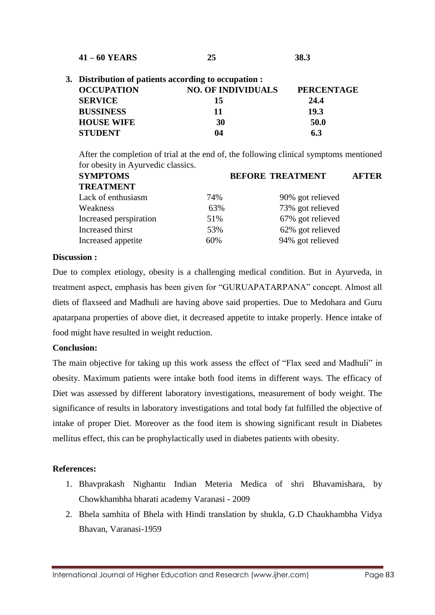| $41 - 60$ YEARS | 43 | 38.3 |
|-----------------|----|------|
|                 |    |      |

| 3. Distribution of patients according to occupation : |                           |                   |  |
|-------------------------------------------------------|---------------------------|-------------------|--|
| <b>OCCUPATION</b>                                     | <b>NO. OF INDIVIDUALS</b> | <b>PERCENTAGE</b> |  |
| <b>SERVICE</b>                                        | 15                        | 24.4              |  |
| <b>BUSSINESS</b>                                      | 11                        | 19.3              |  |
| <b>HOUSE WIFE</b>                                     | 30                        | 50.0              |  |
| <b>STUDENT</b>                                        | 04                        | 63                |  |

After the completion of trial at the end of, the following clinical symptoms mentioned for obesity in Ayurvedic classics.

| <b>SYMPTOMS</b>        |     | <b>BEFORE TREATMENT</b> |  |
|------------------------|-----|-------------------------|--|
| <b>TREATMENT</b>       |     |                         |  |
| Lack of enthusiasm     | 74% | 90% got relieved        |  |
| Weakness               | 63% | 73% got relieved        |  |
| Increased perspiration | 51% | 67% got relieved        |  |
| Increased thirst       | 53% | 62% got relieved        |  |
| Increased appetite     | 60% | 94% got relieved        |  |

#### **Discussion :**

Due to complex etiology, obesity is a challenging medical condition. But in Ayurveda, in treatment aspect, emphasis has been given for "GURUAPATARPANA" concept. Almost all diets of flaxseed and Madhuli are having above said properties. Due to Medohara and Guru apatarpana properties of above diet, it decreased appetite to intake properly. Hence intake of food might have resulted in weight reduction.

#### **Conclusion:**

The main objective for taking up this work assess the effect of "Flax seed and Madhuli" in obesity. Maximum patients were intake both food items in different ways. The efficacy of Diet was assessed by different laboratory investigations, measurement of body weight. The significance of results in laboratory investigations and total body fat fulfilled the objective of intake of proper Diet. Moreover as the food item is showing significant result in Diabetes mellitus effect, this can be prophylactically used in diabetes patients with obesity.

#### **References:**

- 1. Bhavprakash Nighantu Indian Meteria Medica of shri Bhavamishara, by Chowkhambha bharati academy Varanasi - 2009
- 2. Bhela samhita of Bhela with Hindi translation by shukla, G.D Chaukhambha Vidya Bhavan, Varanasi-1959